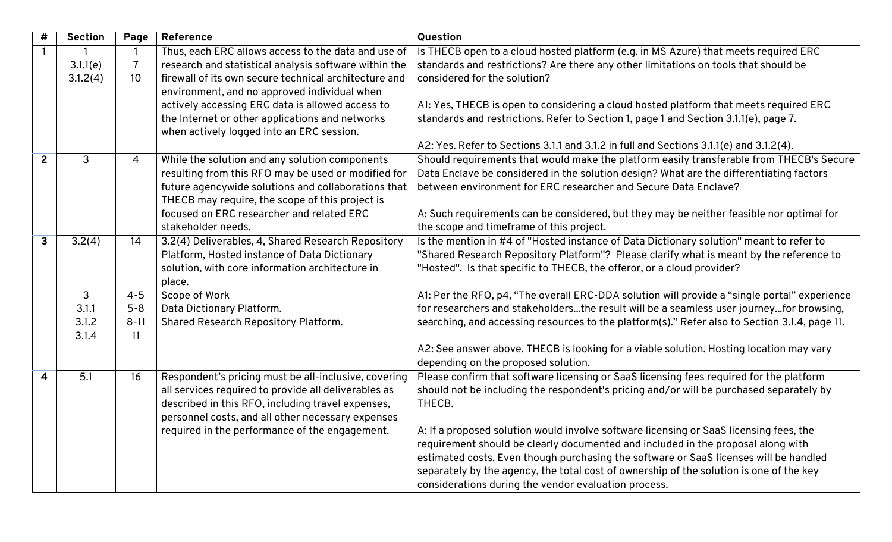| $\#$                    | <b>Section</b> | Page           | Reference                                                                                    | Question                                                                                      |
|-------------------------|----------------|----------------|----------------------------------------------------------------------------------------------|-----------------------------------------------------------------------------------------------|
| $\mathbf{1}$            |                |                | Thus, each ERC allows access to the data and use of                                          | Is THECB open to a cloud hosted platform (e.g. in MS Azure) that meets required ERC           |
|                         | 3.1.1(e)       | $\overline{7}$ | research and statistical analysis software within the                                        | standards and restrictions? Are there any other limitations on tools that should be           |
|                         | 3.1.2(4)       | 10             | firewall of its own secure technical architecture and                                        | considered for the solution?                                                                  |
|                         |                |                | environment, and no approved individual when                                                 |                                                                                               |
|                         |                |                | actively accessing ERC data is allowed access to                                             | A1: Yes, THECB is open to considering a cloud hosted platform that meets required ERC         |
|                         |                |                | the Internet or other applications and networks<br>when actively logged into an ERC session. | standards and restrictions. Refer to Section 1, page 1 and Section 3.1.1(e), page 7.          |
|                         |                |                |                                                                                              | A2: Yes. Refer to Sections 3.1.1 and 3.1.2 in full and Sections 3.1.1(e) and 3.1.2(4).        |
| $\overline{2}$          | 3              | $\overline{4}$ | While the solution and any solution components                                               | Should requirements that would make the platform easily transferable from THECB's Secure      |
|                         |                |                | resulting from this RFO may be used or modified for                                          | Data Enclave be considered in the solution design? What are the differentiating factors       |
|                         |                |                | future agencywide solutions and collaborations that                                          | between environment for ERC researcher and Secure Data Enclave?                               |
|                         |                |                | THECB may require, the scope of this project is                                              |                                                                                               |
|                         |                |                | focused on ERC researcher and related ERC                                                    | A: Such requirements can be considered, but they may be neither feasible nor optimal for      |
|                         |                |                | stakeholder needs.                                                                           | the scope and timeframe of this project.                                                      |
| $\mathbf{3}$            | 3.2(4)         | 14             | 3.2(4) Deliverables, 4, Shared Research Repository                                           | Is the mention in #4 of "Hosted instance of Data Dictionary solution" meant to refer to       |
|                         |                |                | Platform, Hosted instance of Data Dictionary                                                 | "Shared Research Repository Platform"? Please clarify what is meant by the reference to       |
|                         |                |                | solution, with core information architecture in                                              | "Hosted". Is that specific to THECB, the offeror, or a cloud provider?                        |
|                         |                |                | place.                                                                                       |                                                                                               |
|                         | 3              | $4 - 5$        | Scope of Work                                                                                | A1: Per the RFO, p4, "The overall ERC-DDA solution will provide a "single portal" experience  |
|                         | 3.1.1          | $5 - 8$        | Data Dictionary Platform.                                                                    | for researchers and stakeholdersthe result will be a seamless user journeyfor browsing,       |
|                         | 3.1.2          | $8 - 11$       | Shared Research Repository Platform.                                                         | searching, and accessing resources to the platform(s)." Refer also to Section 3.1.4, page 11. |
|                         | 3.1.4          | 11             |                                                                                              |                                                                                               |
|                         |                |                |                                                                                              | A2: See answer above. THECB is looking for a viable solution. Hosting location may vary       |
|                         |                |                |                                                                                              | depending on the proposed solution.                                                           |
| $\overline{\mathbf{4}}$ | 5.1            | 16             | Respondent's pricing must be all-inclusive, covering                                         | Please confirm that software licensing or SaaS licensing fees required for the platform       |
|                         |                |                | all services required to provide all deliverables as                                         | should not be including the respondent's pricing and/or will be purchased separately by       |
|                         |                |                | described in this RFO, including travel expenses,                                            | THECB.                                                                                        |
|                         |                |                | personnel costs, and all other necessary expenses                                            |                                                                                               |
|                         |                |                | required in the performance of the engagement.                                               | A: If a proposed solution would involve software licensing or SaaS licensing fees, the        |
|                         |                |                |                                                                                              | requirement should be clearly documented and included in the proposal along with              |
|                         |                |                |                                                                                              | estimated costs. Even though purchasing the software or SaaS licenses will be handled         |
|                         |                |                |                                                                                              | separately by the agency, the total cost of ownership of the solution is one of the key       |
|                         |                |                |                                                                                              | considerations during the vendor evaluation process.                                          |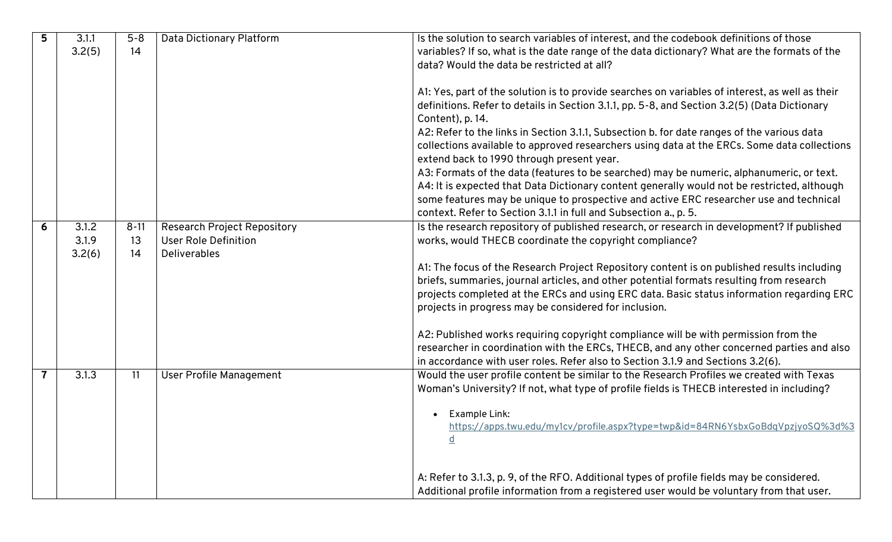| 5 | 3.1.1  | $5 - 8$  | Data Dictionary Platform           | Is the solution to search variables of interest, and the codebook definitions of those          |
|---|--------|----------|------------------------------------|-------------------------------------------------------------------------------------------------|
|   | 3.2(5) | 14       |                                    | variables? If so, what is the date range of the data dictionary? What are the formats of the    |
|   |        |          |                                    | data? Would the data be restricted at all?                                                      |
|   |        |          |                                    |                                                                                                 |
|   |        |          |                                    | A1: Yes, part of the solution is to provide searches on variables of interest, as well as their |
|   |        |          |                                    | definitions. Refer to details in Section 3.1.1, pp. 5-8, and Section 3.2(5) (Data Dictionary    |
|   |        |          |                                    | Content), p. 14.                                                                                |
|   |        |          |                                    | A2: Refer to the links in Section 3.1.1, Subsection b. for date ranges of the various data      |
|   |        |          |                                    | collections available to approved researchers using data at the ERCs. Some data collections     |
|   |        |          |                                    | extend back to 1990 through present year.                                                       |
|   |        |          |                                    | A3: Formats of the data (features to be searched) may be numeric, alphanumeric, or text.        |
|   |        |          |                                    | A4: It is expected that Data Dictionary content generally would not be restricted, although     |
|   |        |          |                                    | some features may be unique to prospective and active ERC researcher use and technical          |
|   |        |          |                                    | context. Refer to Section 3.1.1 in full and Subsection a., p. 5.                                |
| 6 | 3.1.2  | $8 - 11$ | <b>Research Project Repository</b> | Is the research repository of published research, or research in development? If published      |
|   | 3.1.9  | 13       | <b>User Role Definition</b>        | works, would THECB coordinate the copyright compliance?                                         |
|   | 3.2(6) | 14       | <b>Deliverables</b>                |                                                                                                 |
|   |        |          |                                    | A1: The focus of the Research Project Repository content is on published results including      |
|   |        |          |                                    | briefs, summaries, journal articles, and other potential formats resulting from research        |
|   |        |          |                                    | projects completed at the ERCs and using ERC data. Basic status information regarding ERC       |
|   |        |          |                                    | projects in progress may be considered for inclusion.                                           |
|   |        |          |                                    |                                                                                                 |
|   |        |          |                                    | A2: Published works requiring copyright compliance will be with permission from the             |
|   |        |          |                                    | researcher in coordination with the ERCs, THECB, and any other concerned parties and also       |
|   |        |          |                                    | in accordance with user roles. Refer also to Section 3.1.9 and Sections 3.2(6).                 |
|   | 3.1.3  | 11       | <b>User Profile Management</b>     | Would the user profile content be similar to the Research Profiles we created with Texas        |
|   |        |          |                                    | Woman's University? If not, what type of profile fields is THECB interested in including?       |
|   |        |          |                                    |                                                                                                 |
|   |        |          |                                    | Example Link:                                                                                   |
|   |        |          |                                    | https://apps.twu.edu/my1cv/profile.aspx?type=twp&id=84RN6YsbxGoBdqVpzjyoSQ%3d%3                 |
|   |        |          |                                    | <u>d</u>                                                                                        |
|   |        |          |                                    |                                                                                                 |
|   |        |          |                                    |                                                                                                 |
|   |        |          |                                    | A: Refer to 3.1.3, p. 9, of the RFO. Additional types of profile fields may be considered.      |
|   |        |          |                                    | Additional profile information from a registered user would be voluntary from that user.        |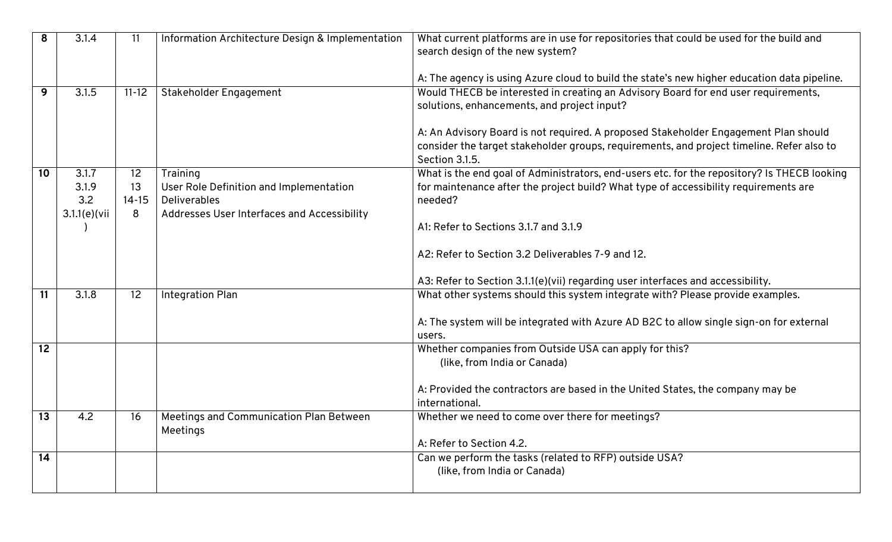| 8               | 3.1.4           | 11        | Information Architecture Design & Implementation | What current platforms are in use for repositories that could be used for the build and     |
|-----------------|-----------------|-----------|--------------------------------------------------|---------------------------------------------------------------------------------------------|
|                 |                 |           |                                                  | search design of the new system?                                                            |
|                 |                 |           |                                                  |                                                                                             |
|                 |                 |           |                                                  | A: The agency is using Azure cloud to build the state's new higher education data pipeline. |
| 9               | 3.1.5           | $11 - 12$ | Stakeholder Engagement                           | Would THECB be interested in creating an Advisory Board for end user requirements,          |
|                 |                 |           |                                                  | solutions, enhancements, and project input?                                                 |
|                 |                 |           |                                                  |                                                                                             |
|                 |                 |           |                                                  | A: An Advisory Board is not required. A proposed Stakeholder Engagement Plan should         |
|                 |                 |           |                                                  | consider the target stakeholder groups, requirements, and project timeline. Refer also to   |
|                 |                 |           |                                                  | Section 3.1.5.                                                                              |
| 10              | 3.1.7           | 12        | Training                                         | What is the end goal of Administrators, end-users etc. for the repository? Is THECB looking |
|                 | 3.1.9           | 13        | User Role Definition and Implementation          | for maintenance after the project build? What type of accessibility requirements are        |
|                 | 3.2             | $14 - 15$ | <b>Deliverables</b>                              | needed?                                                                                     |
|                 | $3.1.1(e)$ (vii | 8         | Addresses User Interfaces and Accessibility      |                                                                                             |
|                 |                 |           |                                                  | A1: Refer to Sections 3.1.7 and 3.1.9                                                       |
|                 |                 |           |                                                  |                                                                                             |
|                 |                 |           |                                                  | A2: Refer to Section 3.2 Deliverables 7-9 and 12.                                           |
|                 |                 |           |                                                  |                                                                                             |
|                 |                 |           |                                                  | A3: Refer to Section 3.1.1(e)(vii) regarding user interfaces and accessibility.             |
| 11              | 3.1.8           | 12        | <b>Integration Plan</b>                          | What other systems should this system integrate with? Please provide examples.              |
|                 |                 |           |                                                  |                                                                                             |
|                 |                 |           |                                                  | A: The system will be integrated with Azure AD B2C to allow single sign-on for external     |
|                 |                 |           |                                                  | users.                                                                                      |
| $\overline{12}$ |                 |           |                                                  | Whether companies from Outside USA can apply for this?                                      |
|                 |                 |           |                                                  | (like, from India or Canada)                                                                |
|                 |                 |           |                                                  |                                                                                             |
|                 |                 |           |                                                  | A: Provided the contractors are based in the United States, the company may be              |
|                 |                 |           |                                                  | international.                                                                              |
| 13              | 4.2             | 16        | Meetings and Communication Plan Between          | Whether we need to come over there for meetings?                                            |
|                 |                 |           | Meetings                                         |                                                                                             |
|                 |                 |           |                                                  | A: Refer to Section 4.2.                                                                    |
| $\overline{14}$ |                 |           |                                                  | Can we perform the tasks (related to RFP) outside USA?                                      |
|                 |                 |           |                                                  | (like, from India or Canada)                                                                |
|                 |                 |           |                                                  |                                                                                             |